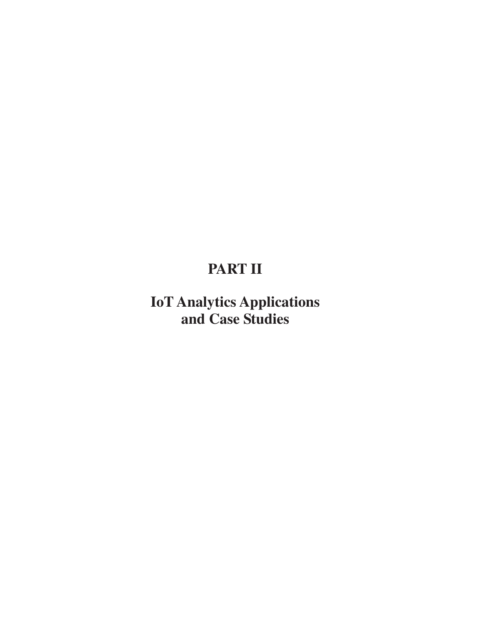# **PART II**

**IoT Analytics Applications and Case Studies**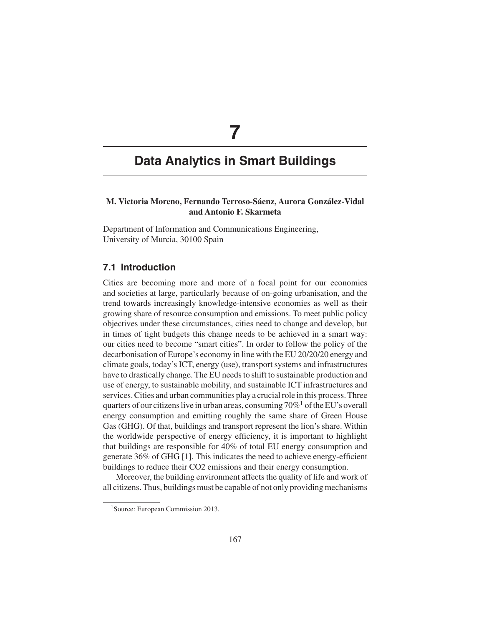# **7**

# **Data Analytics in Smart Buildings**

# **M. Victoria Moreno, Fernando Terroso-Sáenz, Aurora González-Vidal and Antonio F. Skarmeta**

Department of Information and Communications Engineering, University of Murcia, 30100 Spain

# **7.1 Introduction**

Cities are becoming more and more of a focal point for our economies and societies at large, particularly because of on-going urbanisation, and the trend towards increasingly knowledge-intensive economies as well as their growing share of resource consumption and emissions. To meet public policy objectives under these circumstances, cities need to change and develop, but in times of tight budgets this change needs to be achieved in a smart way: our cities need to become "smart cities". In order to follow the policy of the decarbonisation of Europe's economy in line with the EU 20/20/20 energy and climate goals, today's ICT, energy (use), transport systems and infrastructures have to drastically change. The EU needs to shift to sustainable production and use of energy, to sustainable mobility, and sustainable ICT infrastructures and services. Cities and urban communities play a crucial role in this process. Three quarters of our citizens live in urban areas, consuming  $70\%$ <sup>1</sup> of the EU's overall energy consumption and emitting roughly the same share of Green House Gas (GHG). Of that, buildings and transport represent the lion's share. Within the worldwide perspective of energy efficiency, it is important to highlight that buildings are responsible for 40% of total EU energy consumption and generate 36% of GHG [1]. This indicates the need to achieve energy-efficient buildings to reduce their CO2 emissions and their energy consumption.

Moreover, the building environment affects the quality of life and work of all citizens. Thus, buildings must be capable of not only providing mechanisms

<sup>&</sup>lt;sup>1</sup>Source: European Commission 2013.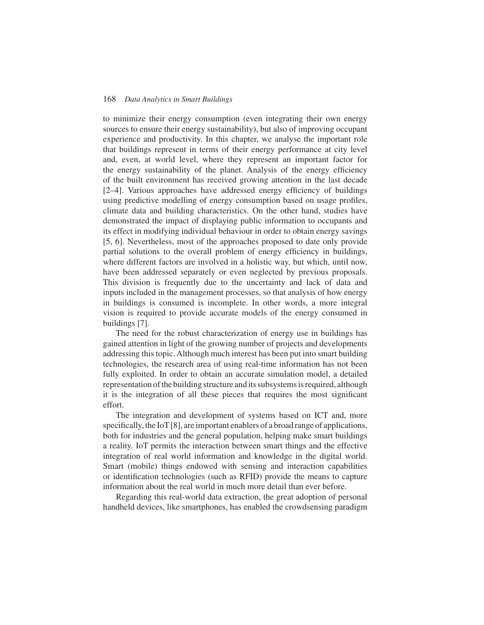to minimize their energy consumption (even integrating their own energy sources to ensure their energy sustainability), but also of improving occupant experience and productivity. In this chapter, we analyse the important role that buildings represent in terms of their energy performance at city level and, even, at world level, where they represent an important factor for the energy sustainability of the planet. Analysis of the energy efficiency of the built environment has received growing attention in the last decade [2–4]. Various approaches have addressed energy efficiency of buildings using predictive modelling of energy consumption based on usage profiles, climate data and building characteristics. On the other hand, studies have demonstrated the impact of displaying public information to occupants and its effect in modifying individual behaviour in order to obtain energy savings [5, 6]. Nevertheless, most of the approaches proposed to date only provide partial solutions to the overall problem of energy efficiency in buildings, where different factors are involved in a holistic way, but which, until now, have been addressed separately or even neglected by previous proposals. This division is frequently due to the uncertainty and lack of data and inputs included in the management processes, so that analysis of how energy in buildings is consumed is incomplete. In other words, a more integral vision is required to provide accurate models of the energy consumed in buildings [7].

The need for the robust characterization of energy use in buildings has gained attention in light of the growing number of projects and developments addressing this topic. Although much interest has been put into smart building technologies, the research area of using real-time information has not been fully exploited. In order to obtain an accurate simulation model, a detailed representation of the building structure and its subsystems is required, although it is the integration of all these pieces that requires the most significant effort.

The integration and development of systems based on ICT and, more specifically, the IoT [8], are important enablers of a broad range of applications, both for industries and the general population, helping make smart buildings a reality. IoT permits the interaction between smart things and the effective integration of real world information and knowledge in the digital world. Smart (mobile) things endowed with sensing and interaction capabilities or identification technologies (such as RFID) provide the means to capture information about the real world in much more detail than ever before.

Regarding this real-world data extraction, the great adoption of personal handheld devices, like smartphones, has enabled the crowdsensing paradigm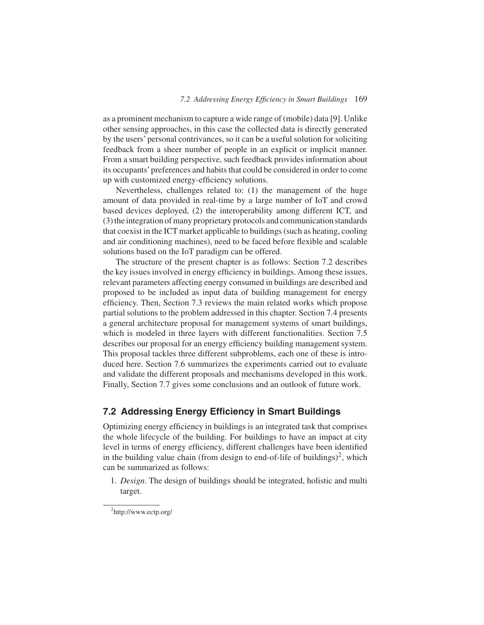as a prominent mechanism to capture a wide range of (mobile) data [9]. Unlike other sensing approaches, in this case the collected data is directly generated by the users' personal contrivances, so it can be a useful solution for soliciting feedback from a sheer number of people in an explicit or implicit manner. From a smart building perspective, such feedback provides information about its occupants' preferences and habits that could be considered in order to come up with customized energy-efficiency solutions.

Nevertheless, challenges related to: (1) the management of the huge amount of data provided in real-time by a large number of IoT and crowd based devices deployed, (2) the interoperability among different ICT, and (3) the integration of many proprietary protocols and communication standards that coexist in the ICT market applicable to buildings (such as heating, cooling and air conditioning machines), need to be faced before flexible and scalable solutions based on the IoT paradigm can be offered.

The structure of the present chapter is as follows: Section 7.2 describes the key issues involved in energy efficiency in buildings. Among these issues, relevant parameters affecting energy consumed in buildings are described and proposed to be included as input data of building management for energy efficiency. Then, Section 7.3 reviews the main related works which propose partial solutions to the problem addressed in this chapter. Section 7.4 presents a general architecture proposal for management systems of smart buildings, which is modeled in three layers with different functionalities. Section 7.5 describes our proposal for an energy efficiency building management system. This proposal tackles three different subproblems, each one of these is introduced here. Section 7.6 summarizes the experiments carried out to evaluate and validate the different proposals and mechanisms developed in this work. Finally, Section 7.7 gives some conclusions and an outlook of future work.

# **7.2 Addressing Energy Efficiency in Smart Buildings**

Optimizing energy efficiency in buildings is an integrated task that comprises the whole lifecycle of the building. For buildings to have an impact at city level in terms of energy efficiency, different challenges have been identified in the building value chain (from design to end-of-life of buildings)<sup>2</sup>, which can be summarized as follows:

1. *Design*. The design of buildings should be integrated, holistic and multi target.

<sup>&</sup>lt;sup>2</sup>http://www.ectp.org/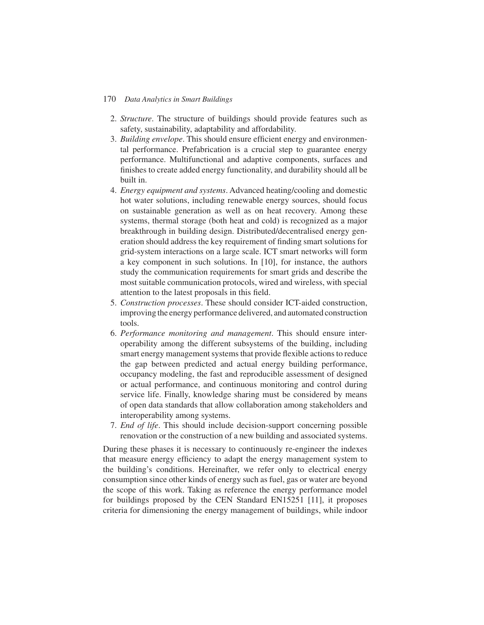- 2. *Structure*. The structure of buildings should provide features such as safety, sustainability, adaptability and affordability.
- 3. *Building envelope*. This should ensure efficient energy and environmental performance. Prefabrication is a crucial step to guarantee energy performance. Multifunctional and adaptive components, surfaces and finishes to create added energy functionality, and durability should all be built in.
- 4. *Energy equipment and systems*. Advanced heating/cooling and domestic hot water solutions, including renewable energy sources, should focus on sustainable generation as well as on heat recovery. Among these systems, thermal storage (both heat and cold) is recognized as a major breakthrough in building design. Distributed/decentralised energy generation should address the key requirement of finding smart solutions for grid-system interactions on a large scale. ICT smart networks will form a key component in such solutions. In [10], for instance, the authors study the communication requirements for smart grids and describe the most suitable communication protocols, wired and wireless, with special attention to the latest proposals in this field.
- 5. *Construction processes*. These should consider ICT-aided construction, improving the energy performance delivered, and automated construction tools.
- 6. *Performance monitoring and management*. This should ensure interoperability among the different subsystems of the building, including smart energy management systems that provide flexible actions to reduce the gap between predicted and actual energy building performance, occupancy modeling, the fast and reproducible assessment of designed or actual performance, and continuous monitoring and control during service life. Finally, knowledge sharing must be considered by means of open data standards that allow collaboration among stakeholders and interoperability among systems.
- 7. *End of life*. This should include decision-support concerning possible renovation or the construction of a new building and associated systems.

During these phases it is necessary to continuously re-engineer the indexes that measure energy efficiency to adapt the energy management system to the building's conditions. Hereinafter, we refer only to electrical energy consumption since other kinds of energy such as fuel, gas or water are beyond the scope of this work. Taking as reference the energy performance model for buildings proposed by the CEN Standard EN15251 [11], it proposes criteria for dimensioning the energy management of buildings, while indoor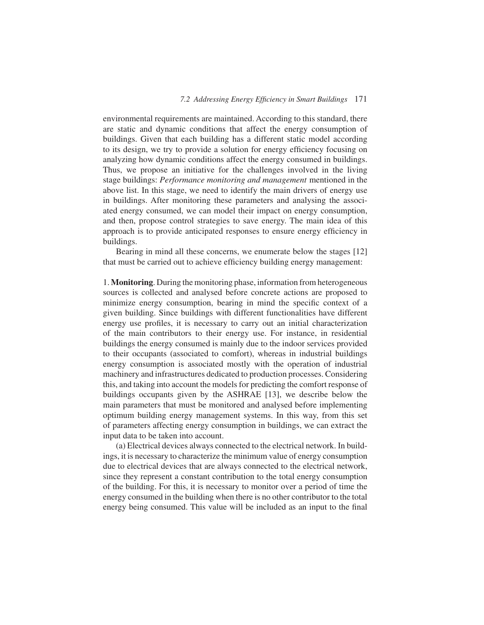environmental requirements are maintained. According to this standard, there are static and dynamic conditions that affect the energy consumption of buildings. Given that each building has a different static model according to its design, we try to provide a solution for energy efficiency focusing on analyzing how dynamic conditions affect the energy consumed in buildings. Thus, we propose an initiative for the challenges involved in the living stage buildings: *Performance monitoring and management* mentioned in the above list. In this stage, we need to identify the main drivers of energy use in buildings. After monitoring these parameters and analysing the associated energy consumed, we can model their impact on energy consumption, and then, propose control strategies to save energy. The main idea of this approach is to provide anticipated responses to ensure energy efficiency in buildings.

Bearing in mind all these concerns, we enumerate below the stages [12] that must be carried out to achieve efficiency building energy management:

1. **Monitoring**. During the monitoring phase, information from heterogeneous sources is collected and analysed before concrete actions are proposed to minimize energy consumption, bearing in mind the specific context of a given building. Since buildings with different functionalities have different energy use profiles, it is necessary to carry out an initial characterization of the main contributors to their energy use. For instance, in residential buildings the energy consumed is mainly due to the indoor services provided to their occupants (associated to comfort), whereas in industrial buildings energy consumption is associated mostly with the operation of industrial machinery and infrastructures dedicated to production processes. Considering this, and taking into account the models for predicting the comfort response of buildings occupants given by the ASHRAE [13], we describe below the main parameters that must be monitored and analysed before implementing optimum building energy management systems. In this way, from this set of parameters affecting energy consumption in buildings, we can extract the input data to be taken into account.

(a) Electrical devices always connected to the electrical network. In buildings, it is necessary to characterize the minimum value of energy consumption due to electrical devices that are always connected to the electrical network, since they represent a constant contribution to the total energy consumption of the building. For this, it is necessary to monitor over a period of time the energy consumed in the building when there is no other contributor to the total energy being consumed. This value will be included as an input to the final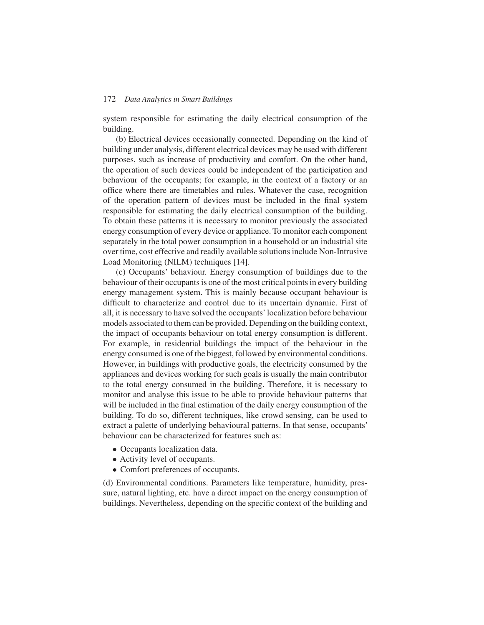system responsible for estimating the daily electrical consumption of the building.

(b) Electrical devices occasionally connected. Depending on the kind of building under analysis, different electrical devices may be used with different purposes, such as increase of productivity and comfort. On the other hand, the operation of such devices could be independent of the participation and behaviour of the occupants; for example, in the context of a factory or an office where there are timetables and rules. Whatever the case, recognition of the operation pattern of devices must be included in the final system responsible for estimating the daily electrical consumption of the building. To obtain these patterns it is necessary to monitor previously the associated energy consumption of every device or appliance. To monitor each component separately in the total power consumption in a household or an industrial site over time, cost effective and readily available solutions include Non-Intrusive Load Monitoring (NILM) techniques [14].

(c) Occupants' behaviour. Energy consumption of buildings due to the behaviour of their occupants is one of the most critical points in every building energy management system. This is mainly because occupant behaviour is difficult to characterize and control due to its uncertain dynamic. First of all, it is necessary to have solved the occupants'localization before behaviour models associated to them can be provided. Depending on the building context, the impact of occupants behaviour on total energy consumption is different. For example, in residential buildings the impact of the behaviour in the energy consumed is one of the biggest, followed by environmental conditions. However, in buildings with productive goals, the electricity consumed by the appliances and devices working for such goals is usually the main contributor to the total energy consumed in the building. Therefore, it is necessary to monitor and analyse this issue to be able to provide behaviour patterns that will be included in the final estimation of the daily energy consumption of the building. To do so, different techniques, like crowd sensing, can be used to extract a palette of underlying behavioural patterns. In that sense, occupants' behaviour can be characterized for features such as:

- Occupants localization data.
- Activity level of occupants.
- Comfort preferences of occupants.

(d) Environmental conditions. Parameters like temperature, humidity, pressure, natural lighting, etc. have a direct impact on the energy consumption of buildings. Nevertheless, depending on the specific context of the building and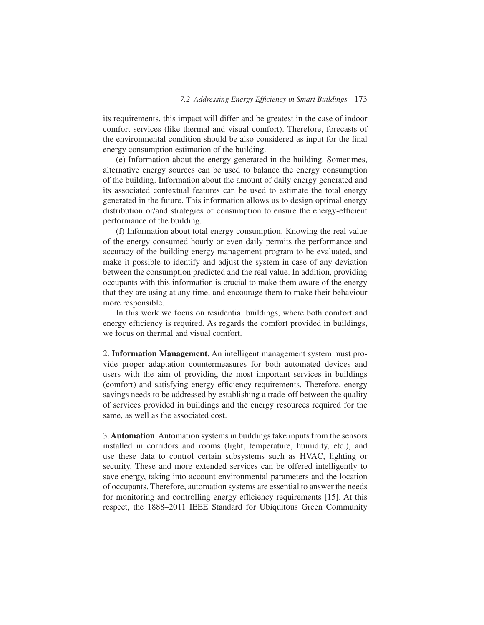its requirements, this impact will differ and be greatest in the case of indoor comfort services (like thermal and visual comfort). Therefore, forecasts of the environmental condition should be also considered as input for the final energy consumption estimation of the building.

(e) Information about the energy generated in the building. Sometimes, alternative energy sources can be used to balance the energy consumption of the building. Information about the amount of daily energy generated and its associated contextual features can be used to estimate the total energy generated in the future. This information allows us to design optimal energy distribution or/and strategies of consumption to ensure the energy-efficient performance of the building.

(f) Information about total energy consumption. Knowing the real value of the energy consumed hourly or even daily permits the performance and accuracy of the building energy management program to be evaluated, and make it possible to identify and adjust the system in case of any deviation between the consumption predicted and the real value. In addition, providing occupants with this information is crucial to make them aware of the energy that they are using at any time, and encourage them to make their behaviour more responsible.

In this work we focus on residential buildings, where both comfort and energy efficiency is required. As regards the comfort provided in buildings, we focus on thermal and visual comfort.

2. **Information Management**. An intelligent management system must provide proper adaptation countermeasures for both automated devices and users with the aim of providing the most important services in buildings (comfort) and satisfying energy efficiency requirements. Therefore, energy savings needs to be addressed by establishing a trade-off between the quality of services provided in buildings and the energy resources required for the same, as well as the associated cost.

3. **Automation**. Automation systems in buildings take inputs from the sensors installed in corridors and rooms (light, temperature, humidity, etc.), and use these data to control certain subsystems such as HVAC, lighting or security. These and more extended services can be offered intelligently to save energy, taking into account environmental parameters and the location of occupants. Therefore, automation systems are essential to answer the needs for monitoring and controlling energy efficiency requirements [15]. At this respect, the 1888–2011 IEEE Standard for Ubiquitous Green Community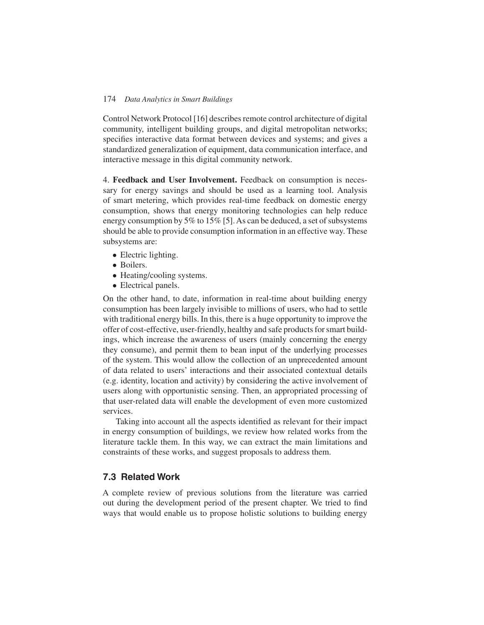Control Network Protocol [16] describes remote control architecture of digital community, intelligent building groups, and digital metropolitan networks; specifies interactive data format between devices and systems; and gives a standardized generalization of equipment, data communication interface, and interactive message in this digital community network.

4. **Feedback and User Involvement.** Feedback on consumption is necessary for energy savings and should be used as a learning tool. Analysis of smart metering, which provides real-time feedback on domestic energy consumption, shows that energy monitoring technologies can help reduce energy consumption by 5% to 15% [5]. As can be deduced, a set of subsystems should be able to provide consumption information in an effective way. These subsystems are:

- Electric lighting.
- Boilers.
- Heating/cooling systems.
- Electrical panels.

On the other hand, to date, information in real-time about building energy consumption has been largely invisible to millions of users, who had to settle with traditional energy bills. In this, there is a huge opportunity to improve the offer of cost-effective, user-friendly, healthy and safe products for smart buildings, which increase the awareness of users (mainly concerning the energy they consume), and permit them to bean input of the underlying processes of the system. This would allow the collection of an unprecedented amount of data related to users' interactions and their associated contextual details (e.g. identity, location and activity) by considering the active involvement of users along with opportunistic sensing. Then, an appropriated processing of that user-related data will enable the development of even more customized services.

Taking into account all the aspects identified as relevant for their impact in energy consumption of buildings, we review how related works from the literature tackle them. In this way, we can extract the main limitations and constraints of these works, and suggest proposals to address them.

# **7.3 Related Work**

A complete review of previous solutions from the literature was carried out during the development period of the present chapter. We tried to find ways that would enable us to propose holistic solutions to building energy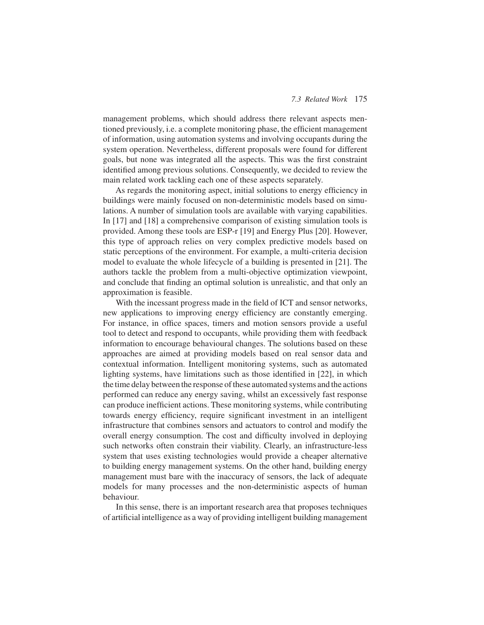#### *7.3 Related Work* 175

management problems, which should address there relevant aspects mentioned previously, i.e. a complete monitoring phase, the efficient management of information, using automation systems and involving occupants during the system operation. Nevertheless, different proposals were found for different goals, but none was integrated all the aspects. This was the first constraint identified among previous solutions. Consequently, we decided to review the main related work tackling each one of these aspects separately.

As regards the monitoring aspect, initial solutions to energy efficiency in buildings were mainly focused on non-deterministic models based on simulations. A number of simulation tools are available with varying capabilities. In [17] and [18] a comprehensive comparison of existing simulation tools is provided. Among these tools are ESP-r [19] and Energy Plus [20]. However, this type of approach relies on very complex predictive models based on static perceptions of the environment. For example, a multi-criteria decision model to evaluate the whole lifecycle of a building is presented in [21]. The authors tackle the problem from a multi-objective optimization viewpoint, and conclude that finding an optimal solution is unrealistic, and that only an approximation is feasible.

With the incessant progress made in the field of ICT and sensor networks, new applications to improving energy efficiency are constantly emerging. For instance, in office spaces, timers and motion sensors provide a useful tool to detect and respond to occupants, while providing them with feedback information to encourage behavioural changes. The solutions based on these approaches are aimed at providing models based on real sensor data and contextual information. Intelligent monitoring systems, such as automated lighting systems, have limitations such as those identified in [22], in which the time delay between the response of these automated systems and the actions performed can reduce any energy saving, whilst an excessively fast response can produce inefficient actions. These monitoring systems, while contributing towards energy efficiency, require significant investment in an intelligent infrastructure that combines sensors and actuators to control and modify the overall energy consumption. The cost and difficulty involved in deploying such networks often constrain their viability. Clearly, an infrastructure-less system that uses existing technologies would provide a cheaper alternative to building energy management systems. On the other hand, building energy management must bare with the inaccuracy of sensors, the lack of adequate models for many processes and the non-deterministic aspects of human behaviour.

In this sense, there is an important research area that proposes techniques of artificial intelligence as a way of providing intelligent building management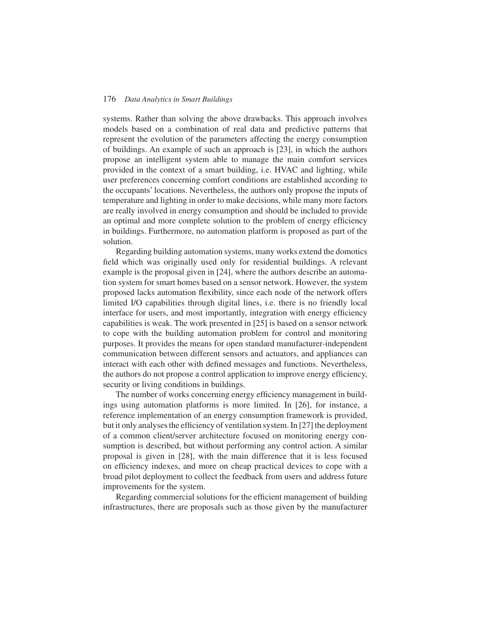systems. Rather than solving the above drawbacks. This approach involves models based on a combination of real data and predictive patterns that represent the evolution of the parameters affecting the energy consumption of buildings. An example of such an approach is [23], in which the authors propose an intelligent system able to manage the main comfort services provided in the context of a smart building, i.e. HVAC and lighting, while user preferences concerning comfort conditions are established according to the occupants' locations. Nevertheless, the authors only propose the inputs of temperature and lighting in order to make decisions, while many more factors are really involved in energy consumption and should be included to provide an optimal and more complete solution to the problem of energy efficiency in buildings. Furthermore, no automation platform is proposed as part of the solution.

Regarding building automation systems, many works extend the domotics field which was originally used only for residential buildings. A relevant example is the proposal given in [24], where the authors describe an automation system for smart homes based on a sensor network. However, the system proposed lacks automation flexibility, since each node of the network offers limited I/O capabilities through digital lines, i.e. there is no friendly local interface for users, and most importantly, integration with energy efficiency capabilities is weak. The work presented in [25] is based on a sensor network to cope with the building automation problem for control and monitoring purposes. It provides the means for open standard manufacturer-independent communication between different sensors and actuators, and appliances can interact with each other with defined messages and functions. Nevertheless, the authors do not propose a control application to improve energy efficiency, security or living conditions in buildings.

The number of works concerning energy efficiency management in buildings using automation platforms is more limited. In [26], for instance, a reference implementation of an energy consumption framework is provided, but it only analyses the efficiency of ventilation system. In [27] the deployment of a common client/server architecture focused on monitoring energy consumption is described, but without performing any control action. A similar proposal is given in [28], with the main difference that it is less focused on efficiency indexes, and more on cheap practical devices to cope with a broad pilot deployment to collect the feedback from users and address future improvements for the system.

Regarding commercial solutions for the efficient management of building infrastructures, there are proposals such as those given by the manufacturer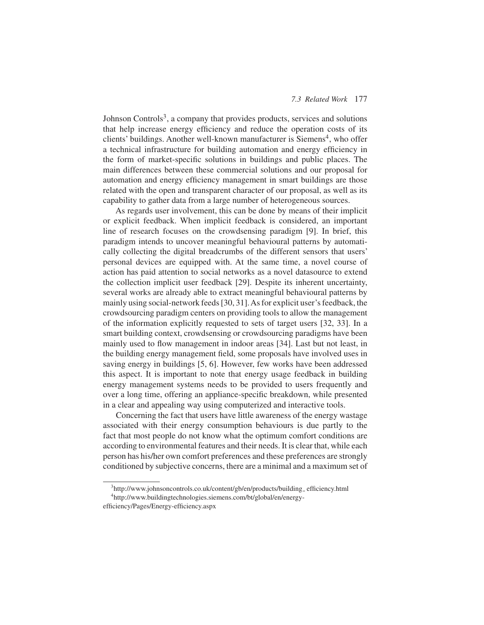#### *7.3 Related Work* 177

Johnson Controls<sup>3</sup>, a company that provides products, services and solutions that help increase energy efficiency and reduce the operation costs of its clients' buildings. Another well-known manufacturer is Siemens<sup>4</sup>, who offer a technical infrastructure for building automation and energy efficiency in the form of market-specific solutions in buildings and public places. The main differences between these commercial solutions and our proposal for automation and energy efficiency management in smart buildings are those related with the open and transparent character of our proposal, as well as its capability to gather data from a large number of heterogeneous sources.

As regards user involvement, this can be done by means of their implicit or explicit feedback. When implicit feedback is considered, an important line of research focuses on the crowdsensing paradigm [9]. In brief, this paradigm intends to uncover meaningful behavioural patterns by automatically collecting the digital breadcrumbs of the different sensors that users' personal devices are equipped with. At the same time, a novel course of action has paid attention to social networks as a novel datasource to extend the collection implicit user feedback [29]. Despite its inherent uncertainty, several works are already able to extract meaningful behavioural patterns by mainly using social-network feeds [30, 31].As for explicit user's feedback, the crowdsourcing paradigm centers on providing tools to allow the management of the information explicitly requested to sets of target users [32, 33]. In a smart building context, crowdsensing or crowdsourcing paradigms have been mainly used to flow management in indoor areas [34]. Last but not least, in the building energy management field, some proposals have involved uses in saving energy in buildings [5, 6]. However, few works have been addressed this aspect. It is important to note that energy usage feedback in building energy management systems needs to be provided to users frequently and over a long time, offering an appliance-specific breakdown, while presented in a clear and appealing way using computerized and interactive tools.

Concerning the fact that users have little awareness of the energy wastage associated with their energy consumption behaviours is due partly to the fact that most people do not know what the optimum comfort conditions are according to environmental features and their needs. It is clear that, while each person has his/her own comfort preferences and these preferences are strongly conditioned by subjective concerns, there are a minimal and a maximum set of

<sup>&</sup>lt;sup>3</sup>http://www.johnsoncontrols.co.uk/content/gb/en/products/building\_efficiency.html 4 http://www.buildingtechnologies.siemens.com/bt/global/en/energy-

efficiency/Pages/Energy-efficiency.aspx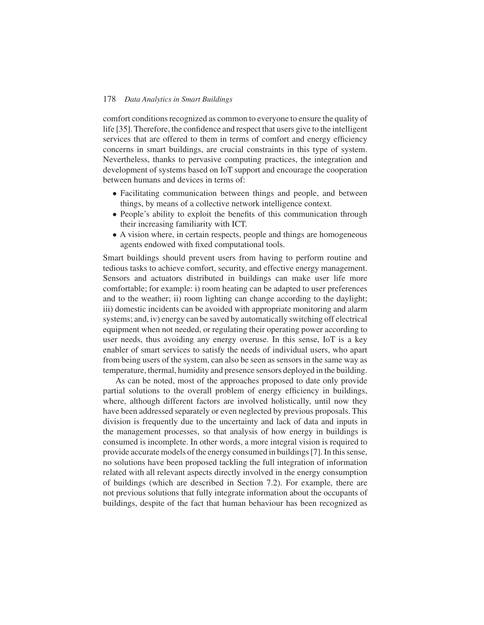comfort conditions recognized as common to everyone to ensure the quality of life [35]. Therefore, the confidence and respect that users give to the intelligent services that are offered to them in terms of comfort and energy efficiency concerns in smart buildings, are crucial constraints in this type of system. Nevertheless, thanks to pervasive computing practices, the integration and development of systems based on IoT support and encourage the cooperation between humans and devices in terms of:

- Facilitating communication between things and people, and between things, by means of a collective network intelligence context.
- People's ability to exploit the benefits of this communication through their increasing familiarity with ICT.
- A vision where, in certain respects, people and things are homogeneous agents endowed with fixed computational tools.

Smart buildings should prevent users from having to perform routine and tedious tasks to achieve comfort, security, and effective energy management. Sensors and actuators distributed in buildings can make user life more comfortable; for example: i) room heating can be adapted to user preferences and to the weather; ii) room lighting can change according to the daylight; iii) domestic incidents can be avoided with appropriate monitoring and alarm systems; and, iv) energy can be saved by automatically switching off electrical equipment when not needed, or regulating their operating power according to user needs, thus avoiding any energy overuse. In this sense, IoT is a key enabler of smart services to satisfy the needs of individual users, who apart from being users of the system, can also be seen as sensors in the same way as temperature, thermal, humidity and presence sensors deployed in the building.

As can be noted, most of the approaches proposed to date only provide partial solutions to the overall problem of energy efficiency in buildings, where, although different factors are involved holistically, until now they have been addressed separately or even neglected by previous proposals. This division is frequently due to the uncertainty and lack of data and inputs in the management processes, so that analysis of how energy in buildings is consumed is incomplete. In other words, a more integral vision is required to provide accurate models of the energy consumed in buildings [7]. In this sense, no solutions have been proposed tackling the full integration of information related with all relevant aspects directly involved in the energy consumption of buildings (which are described in Section 7.2). For example, there are not previous solutions that fully integrate information about the occupants of buildings, despite of the fact that human behaviour has been recognized as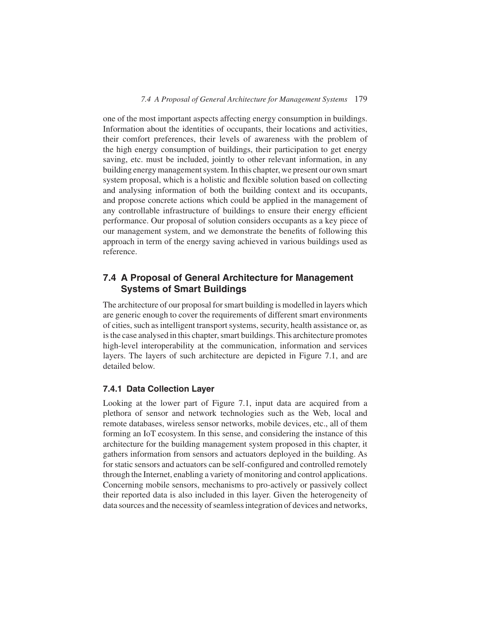one of the most important aspects affecting energy consumption in buildings. Information about the identities of occupants, their locations and activities, their comfort preferences, their levels of awareness with the problem of the high energy consumption of buildings, their participation to get energy saving, etc. must be included, jointly to other relevant information, in any building energy management system. In this chapter, we present our own smart system proposal, which is a holistic and flexible solution based on collecting and analysing information of both the building context and its occupants, and propose concrete actions which could be applied in the management of any controllable infrastructure of buildings to ensure their energy efficient performance. Our proposal of solution considers occupants as a key piece of our management system, and we demonstrate the benefits of following this approach in term of the energy saving achieved in various buildings used as reference.

# **7.4 A Proposal of General Architecture for Management Systems of Smart Buildings**

The architecture of our proposal for smart building is modelled in layers which are generic enough to cover the requirements of different smart environments of cities, such as intelligent transport systems, security, health assistance or, as is the case analysed in this chapter, smart buildings. This architecture promotes high-level interoperability at the communication, information and services layers. The layers of such architecture are depicted in Figure 7.1, and are detailed below.

# **7.4.1 Data Collection Layer**

Looking at the lower part of Figure 7.1, input data are acquired from a plethora of sensor and network technologies such as the Web, local and remote databases, wireless sensor networks, mobile devices, etc., all of them forming an IoT ecosystem. In this sense, and considering the instance of this architecture for the building management system proposed in this chapter, it gathers information from sensors and actuators deployed in the building. As for static sensors and actuators can be self-configured and controlled remotely through the Internet, enabling a variety of monitoring and control applications. Concerning mobile sensors, mechanisms to pro-actively or passively collect their reported data is also included in this layer. Given the heterogeneity of data sources and the necessity of seamless integration of devices and networks,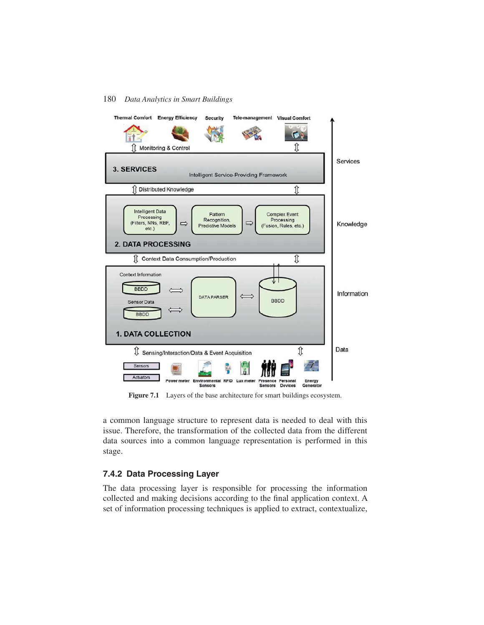

Figure 7.1 Layers of the base architecture for smart buildings ecosystem.

a common language structure to represent data is needed to deal with this issue. Therefore, the transformation of the collected data from the different data sources into a common language representation is performed in this stage.

# **7.4.2 Data Processing Layer**

The data processing layer is responsible for processing the information collected and making decisions according to the final application context. A set of information processing techniques is applied to extract, contextualize,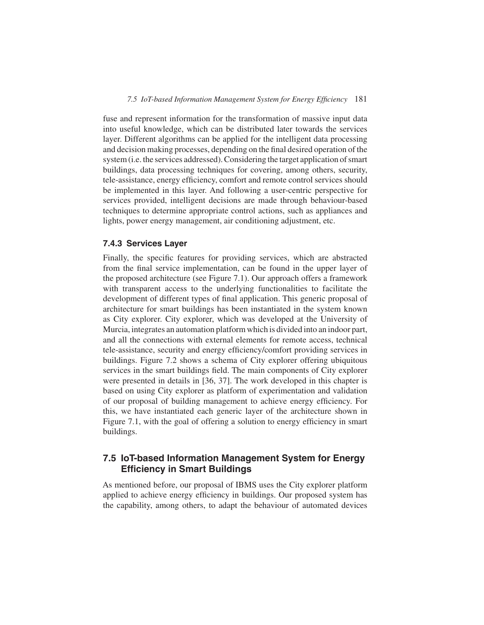fuse and represent information for the transformation of massive input data into useful knowledge, which can be distributed later towards the services layer. Different algorithms can be applied for the intelligent data processing and decision making processes, depending on the final desired operation of the system (i.e. the services addressed). Considering the target application of smart buildings, data processing techniques for covering, among others, security, tele-assistance, energy efficiency, comfort and remote control services should be implemented in this layer. And following a user-centric perspective for services provided, intelligent decisions are made through behaviour-based techniques to determine appropriate control actions, such as appliances and lights, power energy management, air conditioning adjustment, etc.

## **7.4.3 Services Layer**

Finally, the specific features for providing services, which are abstracted from the final service implementation, can be found in the upper layer of the proposed architecture (see Figure 7.1). Our approach offers a framework with transparent access to the underlying functionalities to facilitate the development of different types of final application. This generic proposal of architecture for smart buildings has been instantiated in the system known as City explorer. City explorer, which was developed at the University of Murcia, integrates an automation platform which is divided into an indoor part, and all the connections with external elements for remote access, technical tele-assistance, security and energy efficiency/comfort providing services in buildings. Figure 7.2 shows a schema of City explorer offering ubiquitous services in the smart buildings field. The main components of City explorer were presented in details in [36, 37]. The work developed in this chapter is based on using City explorer as platform of experimentation and validation of our proposal of building management to achieve energy efficiency. For this, we have instantiated each generic layer of the architecture shown in Figure 7.1, with the goal of offering a solution to energy efficiency in smart buildings.

# **7.5 IoT-based Information Management System for Energy Efficiency in Smart Buildings**

As mentioned before, our proposal of IBMS uses the City explorer platform applied to achieve energy efficiency in buildings. Our proposed system has the capability, among others, to adapt the behaviour of automated devices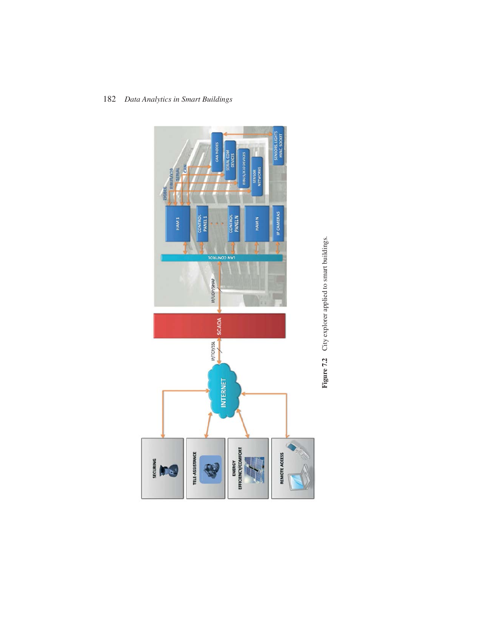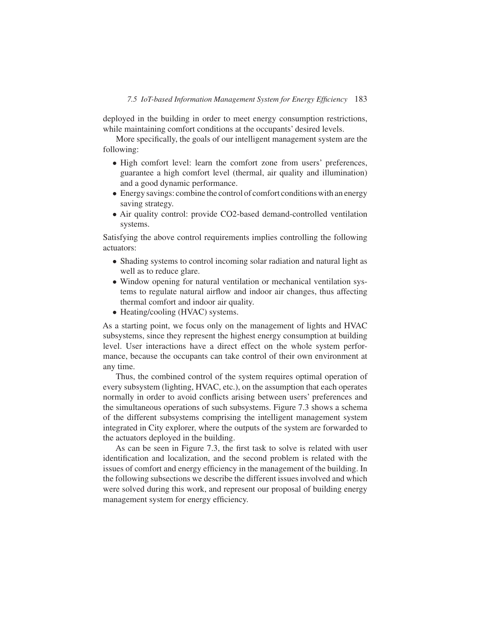deployed in the building in order to meet energy consumption restrictions, while maintaining comfort conditions at the occupants' desired levels.

More specifically, the goals of our intelligent management system are the following:

- High comfort level: learn the comfort zone from users' preferences, guarantee a high comfort level (thermal, air quality and illumination) and a good dynamic performance.
- Energy savings: combine the control of comfort conditions with an energy saving strategy.
- Air quality control: provide CO2-based demand-controlled ventilation systems.

Satisfying the above control requirements implies controlling the following actuators:

- Shading systems to control incoming solar radiation and natural light as well as to reduce glare.
- Window opening for natural ventilation or mechanical ventilation systems to regulate natural airflow and indoor air changes, thus affecting thermal comfort and indoor air quality.
- Heating/cooling (HVAC) systems.

As a starting point, we focus only on the management of lights and HVAC subsystems, since they represent the highest energy consumption at building level. User interactions have a direct effect on the whole system performance, because the occupants can take control of their own environment at any time.

Thus, the combined control of the system requires optimal operation of every subsystem (lighting, HVAC, etc.), on the assumption that each operates normally in order to avoid conflicts arising between users' preferences and the simultaneous operations of such subsystems. Figure 7.3 shows a schema of the different subsystems comprising the intelligent management system integrated in City explorer, where the outputs of the system are forwarded to the actuators deployed in the building.

As can be seen in Figure 7.3, the first task to solve is related with user identification and localization, and the second problem is related with the issues of comfort and energy efficiency in the management of the building. In the following subsections we describe the different issues involved and which were solved during this work, and represent our proposal of building energy management system for energy efficiency.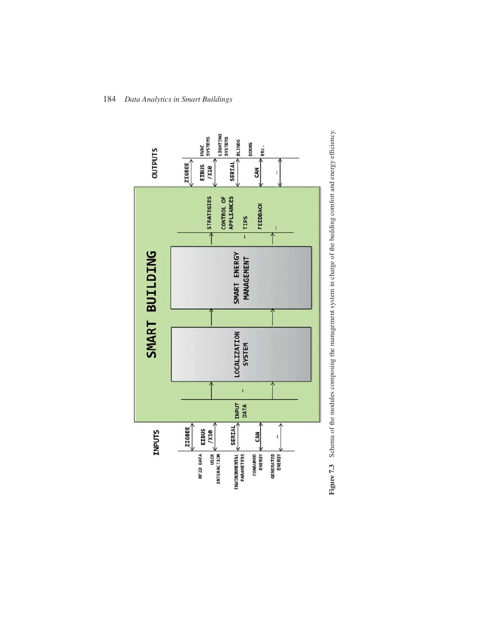

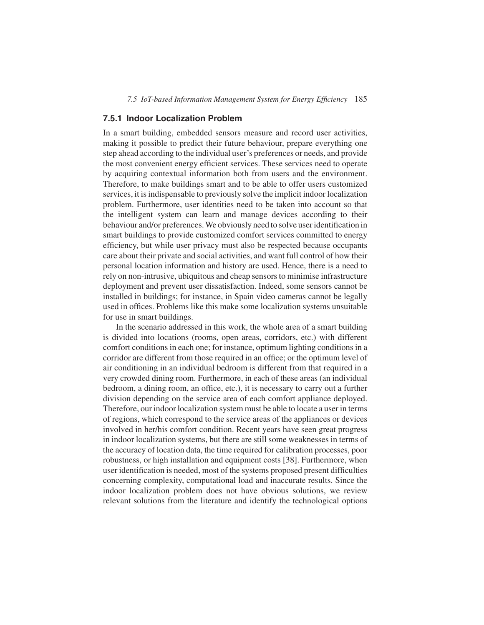### **7.5.1 Indoor Localization Problem**

In a smart building, embedded sensors measure and record user activities, making it possible to predict their future behaviour, prepare everything one step ahead according to the individual user's preferences or needs, and provide the most convenient energy efficient services. These services need to operate by acquiring contextual information both from users and the environment. Therefore, to make buildings smart and to be able to offer users customized services, it is indispensable to previously solve the implicit indoor localization problem. Furthermore, user identities need to be taken into account so that the intelligent system can learn and manage devices according to their behaviour and/or preferences.We obviously need to solve user identification in smart buildings to provide customized comfort services committed to energy efficiency, but while user privacy must also be respected because occupants care about their private and social activities, and want full control of how their personal location information and history are used. Hence, there is a need to rely on non-intrusive, ubiquitous and cheap sensors to minimise infrastructure deployment and prevent user dissatisfaction. Indeed, some sensors cannot be installed in buildings; for instance, in Spain video cameras cannot be legally used in offices. Problems like this make some localization systems unsuitable for use in smart buildings.

In the scenario addressed in this work, the whole area of a smart building is divided into locations (rooms, open areas, corridors, etc.) with different comfort conditions in each one; for instance, optimum lighting conditions in a corridor are different from those required in an office; or the optimum level of air conditioning in an individual bedroom is different from that required in a very crowded dining room. Furthermore, in each of these areas (an individual bedroom, a dining room, an office, etc.), it is necessary to carry out a further division depending on the service area of each comfort appliance deployed. Therefore, our indoor localization system must be able to locate a user in terms of regions, which correspond to the service areas of the appliances or devices involved in her/his comfort condition. Recent years have seen great progress in indoor localization systems, but there are still some weaknesses in terms of the accuracy of location data, the time required for calibration processes, poor robustness, or high installation and equipment costs [38]. Furthermore, when user identification is needed, most of the systems proposed present difficulties concerning complexity, computational load and inaccurate results. Since the indoor localization problem does not have obvious solutions, we review relevant solutions from the literature and identify the technological options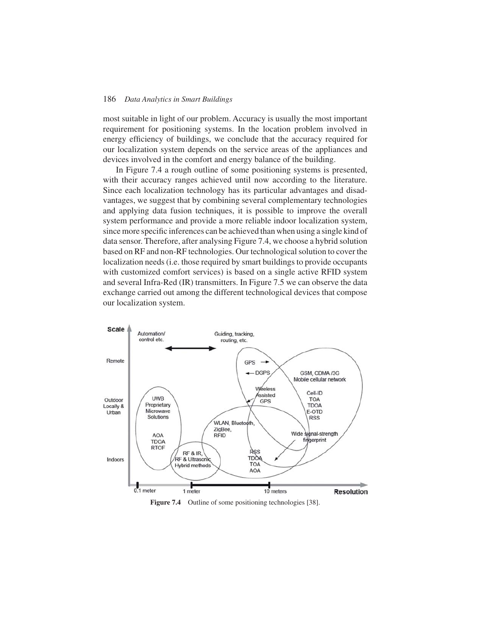most suitable in light of our problem. Accuracy is usually the most important requirement for positioning systems. In the location problem involved in energy efficiency of buildings, we conclude that the accuracy required for our localization system depends on the service areas of the appliances and devices involved in the comfort and energy balance of the building.

In Figure 7.4 a rough outline of some positioning systems is presented, with their accuracy ranges achieved until now according to the literature. Since each localization technology has its particular advantages and disadvantages, we suggest that by combining several complementary technologies and applying data fusion techniques, it is possible to improve the overall system performance and provide a more reliable indoor localization system, since more specific inferences can be achieved than when using a single kind of data sensor. Therefore, after analysing Figure 7.4, we choose a hybrid solution based on RF and non-RF technologies. Our technological solution to cover the localization needs (i.e. those required by smart buildings to provide occupants with customized comfort services) is based on a single active RFID system and several Infra-Red (IR) transmitters. In Figure 7.5 we can observe the data exchange carried out among the different technological devices that compose our localization system.



Figure 7.4 Outline of some positioning technologies [38].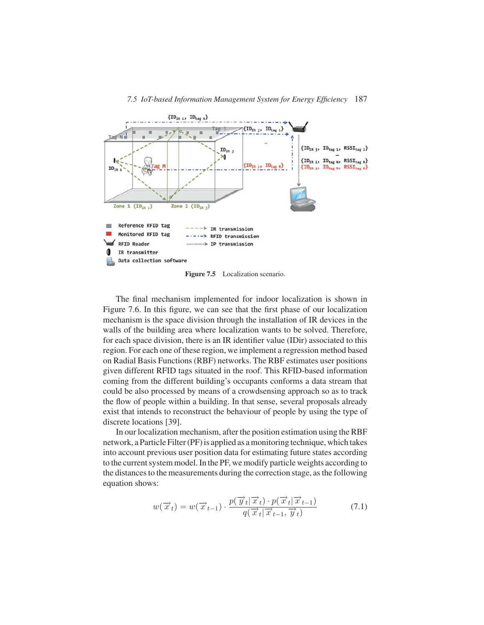

Figure 7.5 Localization scenario.

The final mechanism implemented for indoor localization is shown in Figure 7.6. In this figure, we can see that the first phase of our localization mechanism is the space division through the installation of IR devices in the walls of the building area where localization wants to be solved. Therefore, for each space division, there is an IR identifier value (IDir) associated to this region. For each one of these region, we implement a regression method based on Radial Basis Functions (RBF) networks. The RBF estimates user positions given different RFID tags situated in the roof. This RFID-based information coming from the different building's occupants conforms a data stream that could be also processed by means of a crowdsensing approach so as to track the flow of people within a building. In that sense, several proposals already exist that intends to reconstruct the behaviour of people by using the type of discrete locations [39].

In our localization mechanism, after the position estimation using the RBF network, a Particle Filter (PF) is applied as a monitoring technique, which takes into account previous user position data for estimating future states according to the current system model. In the PF, we modify particle weights according to the distances to the measurements during the correction stage, as the following equation shows:

$$
w(\overrightarrow{x}_t) = w(\overrightarrow{x}_{t-1}) \cdot \frac{p(\overrightarrow{y}_t | \overrightarrow{x}_t) \cdot p(\overrightarrow{x}_t | \overrightarrow{x}_{t-1})}{q(\overrightarrow{x}_t | \overrightarrow{x}_{t-1}, \overrightarrow{y}_t)}
$$
(7.1)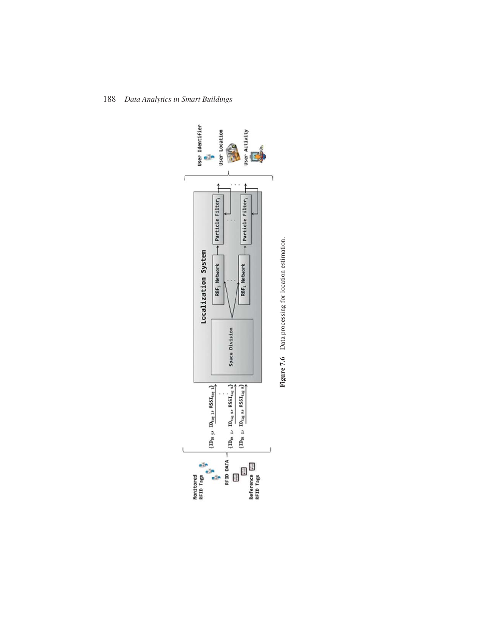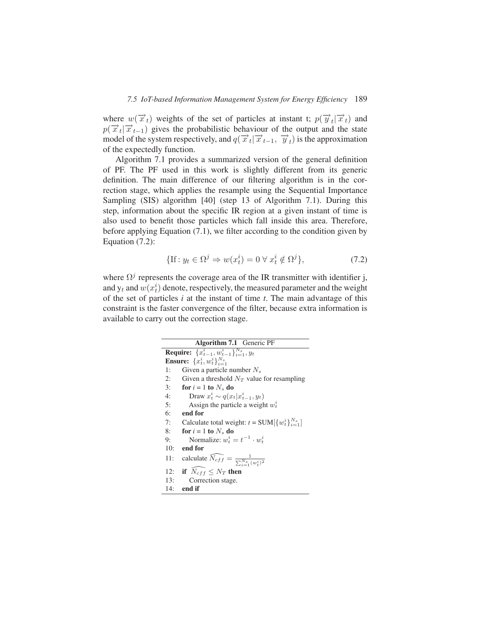where  $w(\vec{x}_t)$  weights of the set of particles at instant t;  $p(\vec{y}_t | \vec{x}_t)$  and  $p(\vec{x}_t | \vec{x}_{t-1})$  gives the probabilistic behaviour of the output and the state model of the system respectively, and  $q(\vec{x}_t | \vec{x}_{t-1}, \vec{y}_t)$  is the approximation of the expectedly function.

Algorithm 7.1 provides a summarized version of the general definition of PF. The PF used in this work is slightly different from its generic definition. The main difference of our filtering algorithm is in the correction stage, which applies the resample using the Sequential Importance Sampling (SIS) algorithm [40] (step 13 of Algorithm 7.1). During this step, information about the specific IR region at a given instant of time is also used to benefit those particles which fall inside this area. Therefore, before applying Equation (7.1), we filter according to the condition given by Equation (7.2):

$$
\{\text{If}: y_t \in \Omega^j \Rightarrow w(x_t^i) = 0 \,\forall \, x_t^i \notin \Omega^j\},\tag{7.2}
$$

where  $\Omega^{j}$  represents the coverage area of the IR transmitter with identifier j, and  $y_t$  and  $w(x_t^i)$  denote, respectively, the measured parameter and the weight of the set of particles *i* at the instant of time *t*. The main advantage of this constraint is the faster convergence of the filter, because extra information is available to carry out the correction stage.

| <b>Algorithm 7.1</b> Generic PF                                             |
|-----------------------------------------------------------------------------|
| <b>Require:</b> $\{x_{t-1}^i, w_{t-1}^i\}_{i=1}^{N_s}, y_t$                 |
| <b>Ensure:</b> $\{x_t^i, w_t^i\}_{i=1}^{N_s}$                               |
| Given a particle number $N_s$<br>1:                                         |
| Given a threshold $N_T$ value for resampling<br>2:                          |
| 3:<br>for $i = 1$ to $N_s$ do                                               |
| Draw $x_t^i \sim q(x_t   x_{t-1}^i, y_t)$<br>4:                             |
| 5:<br>Assign the particle a weight $w_t^i$                                  |
| 6:<br>end for                                                               |
| Calculate total weight: $t = SUM[\{w_t^i\}_{i=1}^{N_s}]$<br>7:              |
| 8:<br>for $i = 1$ to $N_s$ do                                               |
| Normalize: $w_t^i = t^{-1} \cdot w_t^i$<br>9:                               |
| 10:<br>end for                                                              |
| calculate $\widehat{N_{eff}} = \frac{1}{\sum_{i=1}^{N_s} (w_i^i)^2}$<br>11: |
| 12: if $\overline{N_{eff}} \leq N_T$ then                                   |
| 13:<br>Correction stage.                                                    |
| 14:<br>end if                                                               |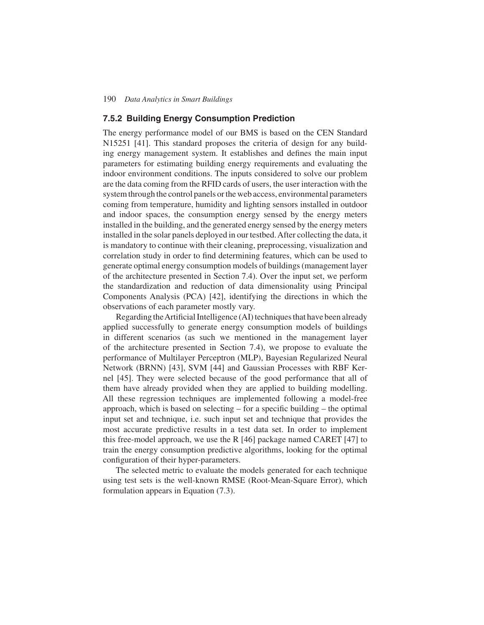### **7.5.2 Building Energy Consumption Prediction**

The energy performance model of our BMS is based on the CEN Standard N15251 [41]. This standard proposes the criteria of design for any building energy management system. It establishes and defines the main input parameters for estimating building energy requirements and evaluating the indoor environment conditions. The inputs considered to solve our problem are the data coming from the RFID cards of users, the user interaction with the system through the control panels or the web access, environmental parameters coming from temperature, humidity and lighting sensors installed in outdoor and indoor spaces, the consumption energy sensed by the energy meters installed in the building, and the generated energy sensed by the energy meters installed in the solar panels deployed in our testbed.After collecting the data, it is mandatory to continue with their cleaning, preprocessing, visualization and correlation study in order to find determining features, which can be used to generate optimal energy consumption models of buildings (management layer of the architecture presented in Section 7.4). Over the input set, we perform the standardization and reduction of data dimensionality using Principal Components Analysis (PCA) [42], identifying the directions in which the observations of each parameter mostly vary.

Regarding theArtificial Intelligence (AI) techniques that have been already applied successfully to generate energy consumption models of buildings in different scenarios (as such we mentioned in the management layer of the architecture presented in Section 7.4), we propose to evaluate the performance of Multilayer Perceptron (MLP), Bayesian Regularized Neural Network (BRNN) [43], SVM [44] and Gaussian Processes with RBF Kernel [45]. They were selected because of the good performance that all of them have already provided when they are applied to building modelling. All these regression techniques are implemented following a model-free approach, which is based on selecting – for a specific building – the optimal input set and technique, i.e. such input set and technique that provides the most accurate predictive results in a test data set. In order to implement this free-model approach, we use the R [46] package named CARET [47] to train the energy consumption predictive algorithms, looking for the optimal configuration of their hyper-parameters.

The selected metric to evaluate the models generated for each technique using test sets is the well-known RMSE (Root-Mean-Square Error), which formulation appears in Equation (7.3).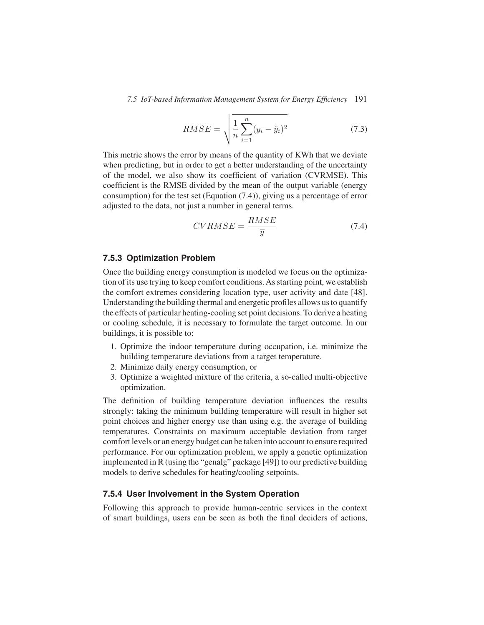$$
RMSE = \sqrt{\frac{1}{n} \sum_{i=1}^{n} (y_i - \hat{y}_i)^2}
$$
 (7.3)

This metric shows the error by means of the quantity of KWh that we deviate when predicting, but in order to get a better understanding of the uncertainty of the model, we also show its coefficient of variation (CVRMSE). This coefficient is the RMSE divided by the mean of the output variable (energy consumption) for the test set (Equation (7.4)), giving us a percentage of error adjusted to the data, not just a number in general terms.

$$
CVRMSE = \frac{RMSE}{\overline{y}}\tag{7.4}
$$

## **7.5.3 Optimization Problem**

Once the building energy consumption is modeled we focus on the optimization of its use trying to keep comfort conditions. As starting point, we establish the comfort extremes considering location type, user activity and date [48]. Understanding the building thermal and energetic profiles allows us to quantify the effects of particular heating-cooling set point decisions. To derive a heating or cooling schedule, it is necessary to formulate the target outcome. In our buildings, it is possible to:

- 1. Optimize the indoor temperature during occupation, i.e. minimize the building temperature deviations from a target temperature.
- 2. Minimize daily energy consumption, or
- 3. Optimize a weighted mixture of the criteria, a so-called multi-objective optimization.

The definition of building temperature deviation influences the results strongly: taking the minimum building temperature will result in higher set point choices and higher energy use than using e.g. the average of building temperatures. Constraints on maximum acceptable deviation from target comfort levels or an energy budget can be taken into account to ensure required performance. For our optimization problem, we apply a genetic optimization implemented in R (using the "genalg" package [49]) to our predictive building models to derive schedules for heating/cooling setpoints.

#### **7.5.4 User Involvement in the System Operation**

Following this approach to provide human-centric services in the context of smart buildings, users can be seen as both the final deciders of actions,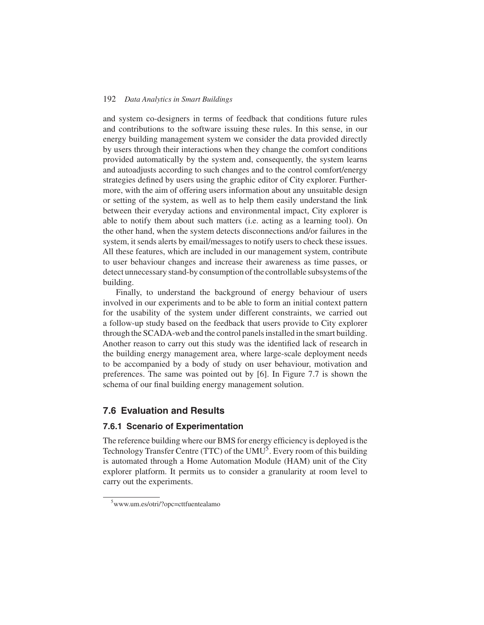and system co-designers in terms of feedback that conditions future rules and contributions to the software issuing these rules. In this sense, in our energy building management system we consider the data provided directly by users through their interactions when they change the comfort conditions provided automatically by the system and, consequently, the system learns and autoadjusts according to such changes and to the control comfort/energy strategies defined by users using the graphic editor of City explorer. Furthermore, with the aim of offering users information about any unsuitable design or setting of the system, as well as to help them easily understand the link between their everyday actions and environmental impact, City explorer is able to notify them about such matters (i.e. acting as a learning tool). On the other hand, when the system detects disconnections and/or failures in the system, it sends alerts by email/messages to notify users to check these issues. All these features, which are included in our management system, contribute to user behaviour changes and increase their awareness as time passes, or detect unnecessary stand-by consumption of the controllable subsystems of the building.

Finally, to understand the background of energy behaviour of users involved in our experiments and to be able to form an initial context pattern for the usability of the system under different constraints, we carried out a follow-up study based on the feedback that users provide to City explorer through the SCADA-web and the control panels installed in the smart building. Another reason to carry out this study was the identified lack of research in the building energy management area, where large-scale deployment needs to be accompanied by a body of study on user behaviour, motivation and preferences. The same was pointed out by [6]. In Figure 7.7 is shown the schema of our final building energy management solution.

# **7.6 Evaluation and Results**

#### **7.6.1 Scenario of Experimentation**

The reference building where our BMS for energy efficiency is deployed is the Technology Transfer Centre (TTC) of the  $UMU<sup>5</sup>$ . Every room of this building is automated through a Home Automation Module (HAM) unit of the City explorer platform. It permits us to consider a granularity at room level to carry out the experiments.

<sup>5</sup> www.um.es/otri/?opc=cttfuentealamo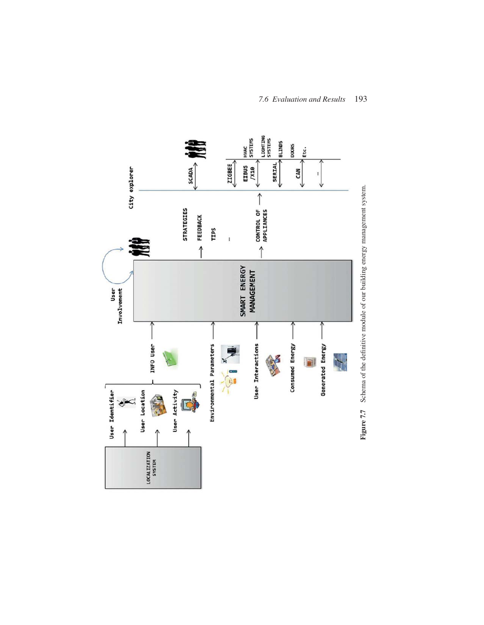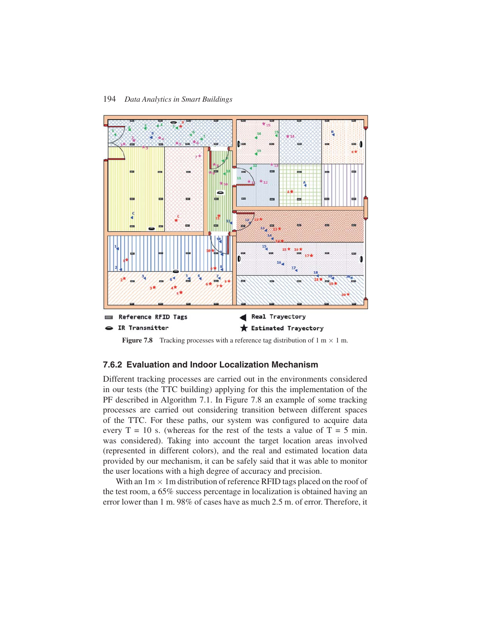

**Figure 7.8** Tracking processes with a reference tag distribution of  $1 \text{ m} \times 1 \text{ m}$ .

## **7.6.2 Evaluation and Indoor Localization Mechanism**

Different tracking processes are carried out in the environments considered in our tests (the TTC building) applying for this the implementation of the PF described in Algorithm 7.1. In Figure 7.8 an example of some tracking processes are carried out considering transition between different spaces of the TTC. For these paths, our system was configured to acquire data every  $T = 10$  s. (whereas for the rest of the tests a value of  $T = 5$  min. was considered). Taking into account the target location areas involved (represented in different colors), and the real and estimated location data provided by our mechanism, it can be safely said that it was able to monitor the user locations with a high degree of accuracy and precision.

With an  $1m \times 1m$  distribution of reference RFID tags placed on the roof of the test room, a 65% success percentage in localization is obtained having an error lower than 1 m. 98% of cases have as much 2.5 m. of error. Therefore, it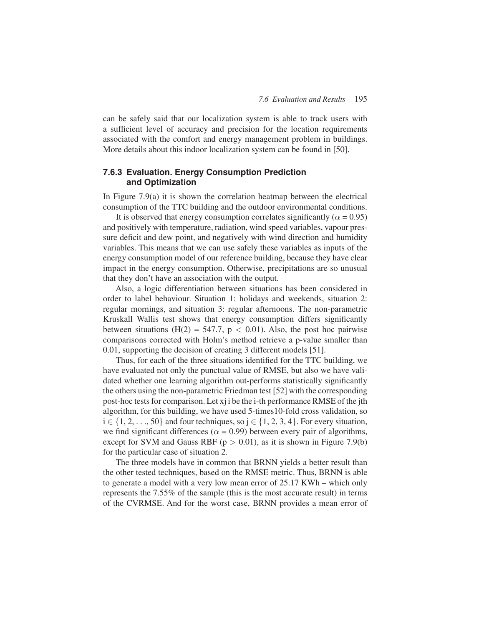can be safely said that our localization system is able to track users with a sufficient level of accuracy and precision for the location requirements associated with the comfort and energy management problem in buildings. More details about this indoor localization system can be found in [50].

# **7.6.3 Evaluation. Energy Consumption Prediction and Optimization**

In Figure 7.9(a) it is shown the correlation heatmap between the electrical consumption of the TTC building and the outdoor environmental conditions.

It is observed that energy consumption correlates significantly ( $\alpha = 0.95$ ) and positively with temperature, radiation, wind speed variables, vapour pressure deficit and dew point, and negatively with wind direction and humidity variables. This means that we can use safely these variables as inputs of the energy consumption model of our reference building, because they have clear impact in the energy consumption. Otherwise, precipitations are so unusual that they don't have an association with the output.

Also, a logic differentiation between situations has been considered in order to label behaviour. Situation 1: holidays and weekends, situation 2: regular mornings, and situation 3: regular afternoons. The non-parametric Kruskall Wallis test shows that energy consumption differs significantly between situations (H(2) = 547.7,  $p < 0.01$ ). Also, the post hoc pairwise comparisons corrected with Holm's method retrieve a p-value smaller than 0.01, supporting the decision of creating 3 different models [51].

Thus, for each of the three situations identified for the TTC building, we have evaluated not only the punctual value of RMSE, but also we have validated whether one learning algorithm out-performs statistically significantly the others using the non-parametric Friedman test [52] with the corresponding post-hoc tests for comparison. Let xj i be the i-th performance RMSE of the jth algorithm, for this building, we have used 5-times10-fold cross validation, so  $i \in \{1, 2, \ldots, 50\}$  and four techniques, so  $j \in \{1, 2, 3, 4\}$ . For every situation, we find significant differences ( $\alpha$  = 0.99) between every pair of algorithms, except for SVM and Gauss RBF ( $p > 0.01$ ), as it is shown in Figure 7.9(b) for the particular case of situation 2.

The three models have in common that BRNN yields a better result than the other tested techniques, based on the RMSE metric. Thus, BRNN is able to generate a model with a very low mean error of 25.17 KWh – which only represents the 7.55% of the sample (this is the most accurate result) in terms of the CVRMSE. And for the worst case, BRNN provides a mean error of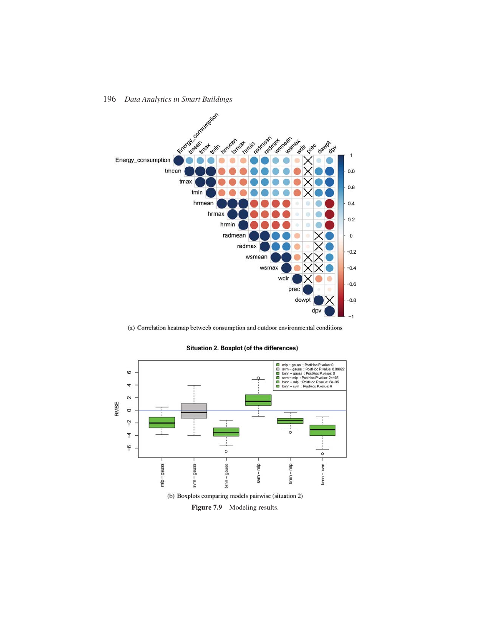

(a) Correlation heatmap betweeb consumption and outdoor environmental conditions



#### Situation 2. Boxplot (of the differences)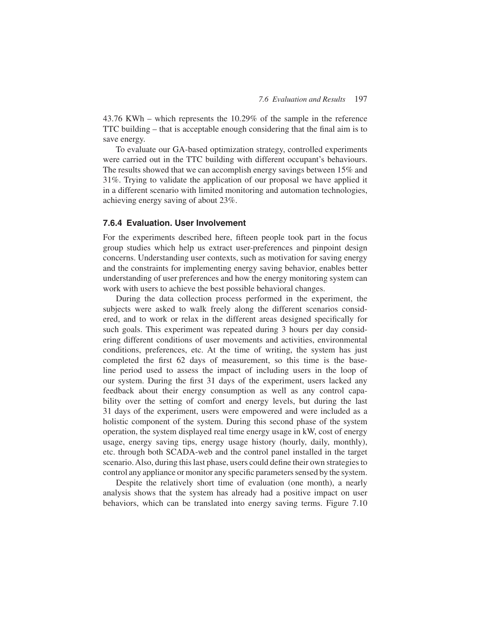43.76 KWh – which represents the 10.29% of the sample in the reference TTC building – that is acceptable enough considering that the final aim is to save energy.

To evaluate our GA-based optimization strategy, controlled experiments were carried out in the TTC building with different occupant's behaviours. The results showed that we can accomplish energy savings between 15% and 31%. Trying to validate the application of our proposal we have applied it in a different scenario with limited monitoring and automation technologies, achieving energy saving of about 23%.

## **7.6.4 Evaluation. User Involvement**

For the experiments described here, fifteen people took part in the focus group studies which help us extract user-preferences and pinpoint design concerns. Understanding user contexts, such as motivation for saving energy and the constraints for implementing energy saving behavior, enables better understanding of user preferences and how the energy monitoring system can work with users to achieve the best possible behavioral changes.

During the data collection process performed in the experiment, the subjects were asked to walk freely along the different scenarios considered, and to work or relax in the different areas designed specifically for such goals. This experiment was repeated during 3 hours per day considering different conditions of user movements and activities, environmental conditions, preferences, etc. At the time of writing, the system has just completed the first 62 days of measurement, so this time is the baseline period used to assess the impact of including users in the loop of our system. During the first 31 days of the experiment, users lacked any feedback about their energy consumption as well as any control capability over the setting of comfort and energy levels, but during the last 31 days of the experiment, users were empowered and were included as a holistic component of the system. During this second phase of the system operation, the system displayed real time energy usage in kW, cost of energy usage, energy saving tips, energy usage history (hourly, daily, monthly), etc. through both SCADA-web and the control panel installed in the target scenario. Also, during this last phase, users could define their own strategies to control any appliance or monitor any specific parameters sensed by the system.

Despite the relatively short time of evaluation (one month), a nearly analysis shows that the system has already had a positive impact on user behaviors, which can be translated into energy saving terms. Figure 7.10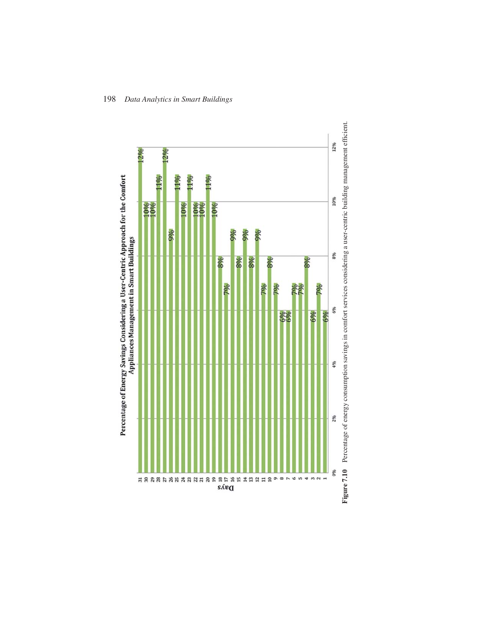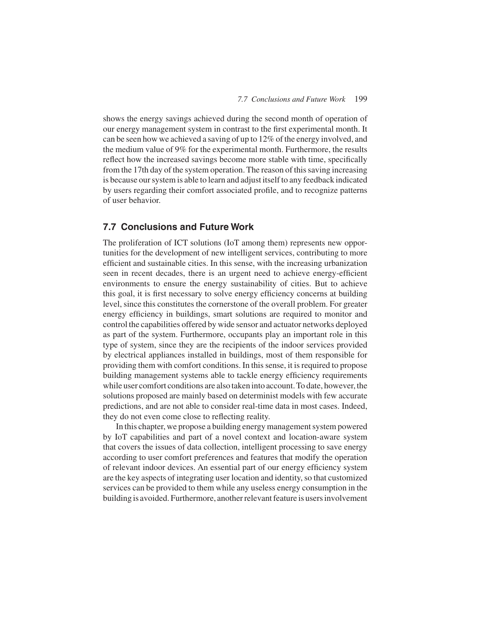shows the energy savings achieved during the second month of operation of our energy management system in contrast to the first experimental month. It can be seen how we achieved a saving of up to 12% of the energy involved, and the medium value of 9% for the experimental month. Furthermore, the results reflect how the increased savings become more stable with time, specifically from the 17th day of the system operation. The reason of this saving increasing is because our system is able to learn and adjust itself to any feedback indicated by users regarding their comfort associated profile, and to recognize patterns of user behavior.

# **7.7 Conclusions and Future Work**

The proliferation of ICT solutions (IoT among them) represents new opportunities for the development of new intelligent services, contributing to more efficient and sustainable cities. In this sense, with the increasing urbanization seen in recent decades, there is an urgent need to achieve energy-efficient environments to ensure the energy sustainability of cities. But to achieve this goal, it is first necessary to solve energy efficiency concerns at building level, since this constitutes the cornerstone of the overall problem. For greater energy efficiency in buildings, smart solutions are required to monitor and control the capabilities offered by wide sensor and actuator networks deployed as part of the system. Furthermore, occupants play an important role in this type of system, since they are the recipients of the indoor services provided by electrical appliances installed in buildings, most of them responsible for providing them with comfort conditions. In this sense, it is required to propose building management systems able to tackle energy efficiency requirements while user comfort conditions are also taken into account. To date, however, the solutions proposed are mainly based on determinist models with few accurate predictions, and are not able to consider real-time data in most cases. Indeed, they do not even come close to reflecting reality.

In this chapter, we propose a building energy management system powered by IoT capabilities and part of a novel context and location-aware system that covers the issues of data collection, intelligent processing to save energy according to user comfort preferences and features that modify the operation of relevant indoor devices. An essential part of our energy efficiency system are the key aspects of integrating user location and identity, so that customized services can be provided to them while any useless energy consumption in the building is avoided. Furthermore, another relevant feature is users involvement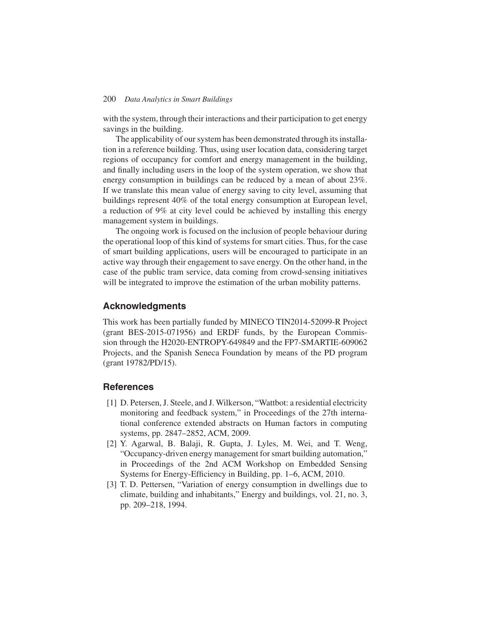with the system, through their interactions and their participation to get energy savings in the building.

The applicability of our system has been demonstrated through its installation in a reference building. Thus, using user location data, considering target regions of occupancy for comfort and energy management in the building, and finally including users in the loop of the system operation, we show that energy consumption in buildings can be reduced by a mean of about 23%. If we translate this mean value of energy saving to city level, assuming that buildings represent 40% of the total energy consumption at European level, a reduction of 9% at city level could be achieved by installing this energy management system in buildings.

The ongoing work is focused on the inclusion of people behaviour during the operational loop of this kind of systems for smart cities. Thus, for the case of smart building applications, users will be encouraged to participate in an active way through their engagement to save energy. On the other hand, in the case of the public tram service, data coming from crowd-sensing initiatives will be integrated to improve the estimation of the urban mobility patterns.

# **Acknowledgments**

This work has been partially funded by MINECO TIN2014-52099-R Project (grant BES-2015-071956) and ERDF funds, by the European Commission through the H2020-ENTROPY-649849 and the FP7-SMARTIE-609062 Projects, and the Spanish Seneca Foundation by means of the PD program (grant 19782/PD/15).

# **References**

- [1] D. Petersen, J. Steele, and J. Wilkerson, "Wattbot: a residential electricity monitoring and feedback system," in Proceedings of the 27th international conference extended abstracts on Human factors in computing systems, pp. 2847–2852, ACM, 2009.
- [2] Y. Agarwal, B. Balaji, R. Gupta, J. Lyles, M. Wei, and T. Weng, "Occupancy-driven energy management for smart building automation," in Proceedings of the 2nd ACM Workshop on Embedded Sensing Systems for Energy-Efficiency in Building, pp. 1–6, ACM, 2010.
- [3] T. D. Pettersen, "Variation of energy consumption in dwellings due to climate, building and inhabitants," Energy and buildings, vol. 21, no. 3, pp. 209–218, 1994.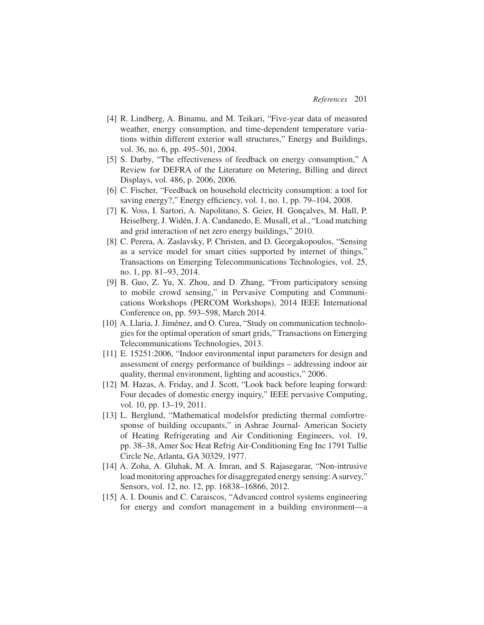- [4] R. Lindberg, A. Binamu, and M. Teikari, "Five-year data of measured weather, energy consumption, and time-dependent temperature variations within different exterior wall structures," Energy and Buildings, vol. 36, no. 6, pp. 495–501, 2004.
- [5] S. Darby, "The effectiveness of feedback on energy consumption," A Review for DEFRA of the Literature on Metering, Billing and direct Displays, vol. 486, p. 2006, 2006.
- [6] C. Fischer, "Feedback on household electricity consumption: a tool for saving energy?," Energy efficiency, vol. 1, no. 1, pp. 79–104, 2008.
- [7] K. Voss, I. Sartori, A. Napolitano, S. Geier, H. Gonçalves, M. Hall, P. Heiselberg, J. Widén, J. A. Candanedo, E. Musall, et al., "Load matching and grid interaction of net zero energy buildings," 2010.
- [8] C. Perera, A. Zaslavsky, P. Christen, and D. Georgakopoulos, "Sensing as a service model for smart cities supported by internet of things," Transactions on Emerging Telecommunications Technologies, vol. 25, no. 1, pp. 81–93, 2014.
- [9] B. Guo, Z. Yu, X. Zhou, and D. Zhang, "From participatory sensing to mobile crowd sensing," in Pervasive Computing and Communications Workshops (PERCOM Workshops), 2014 IEEE International Conference on, pp. 593–598, March 2014.
- [10] A. Llaria, J. Jiménez, and O. Curea, "Study on communication technologies for the optimal operation of smart grids," Transactions on Emerging Telecommunications Technologies, 2013.
- [11] E. 15251:2006, "Indoor environmental input parameters for design and assessment of energy performance of buildings – addressing indoor air quality, thermal environment, lighting and acoustics," 2006.
- [12] M. Hazas, A. Friday, and J. Scott, "Look back before leaping forward: Four decades of domestic energy inquiry," IEEE pervasive Computing, vol. 10, pp. 13–19, 2011.
- [13] L. Berglund, "Mathematical modelsfor predicting thermal comfortresponse of building occupants," in Ashrae Journal- American Society of Heating Refrigerating and Air Conditioning Engineers, vol. 19, pp. 38–38, Amer Soc Heat Refrig Air-Conditioning Eng Inc 1791 Tullie Circle Ne, Atlanta, GA 30329, 1977.
- [14] A. Zoha, A. Gluhak, M. A. Imran, and S. Rajasegarar, "Non-intrusive load monitoring approaches for disaggregated energy sensing: A survey," Sensors, vol. 12, no. 12, pp. 16838–16866, 2012.
- [15] A. I. Dounis and C. Caraiscos, "Advanced control systems engineering for energy and comfort management in a building environment—a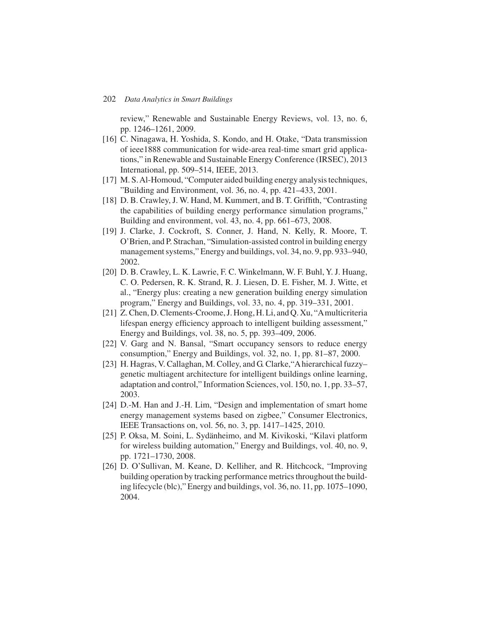review," Renewable and Sustainable Energy Reviews, vol. 13, no. 6, pp. 1246–1261, 2009.

- [16] C. Ninagawa, H. Yoshida, S. Kondo, and H. Otake, "Data transmission of ieee1888 communication for wide-area real-time smart grid applications," in Renewable and Sustainable Energy Conference (IRSEC), 2013 International, pp. 509–514, IEEE, 2013.
- [17] M. S. Al-Homoud, "Computer aided building energy analysis techniques, "Building and Environment, vol. 36, no. 4, pp. 421–433, 2001.
- [18] D. B. Crawley, J. W. Hand, M. Kummert, and B. T. Griffith, "Contrasting the capabilities of building energy performance simulation programs," Building and environment, vol. 43, no. 4, pp. 661–673, 2008.
- [19] J. Clarke, J. Cockroft, S. Conner, J. Hand, N. Kelly, R. Moore, T. O'Brien, and P. Strachan, "Simulation-assisted control in building energy management systems," Energy and buildings, vol. 34, no. 9, pp. 933–940, 2002.
- [20] D. B. Crawley, L. K. Lawrie, F. C. Winkelmann, W. F. Buhl, Y. J. Huang, C. O. Pedersen, R. K. Strand, R. J. Liesen, D. E. Fisher, M. J. Witte, et al., "Energy plus: creating a new generation building energy simulation program," Energy and Buildings, vol. 33, no. 4, pp. 319–331, 2001.
- [21] Z. Chen, D. Clements-Croome, J. Hong, H. Li, and Q. Xu, "Amulticriteria lifespan energy efficiency approach to intelligent building assessment," Energy and Buildings, vol. 38, no. 5, pp. 393–409, 2006.
- [22] V. Garg and N. Bansal, "Smart occupancy sensors to reduce energy consumption," Energy and Buildings, vol. 32, no. 1, pp. 81–87, 2000.
- [23] H. Hagras, V. Callaghan, M. Colley, and G. Clarke,"A hierarchical fuzzy– genetic multiagent architecture for intelligent buildings online learning, adaptation and control," Information Sciences, vol. 150, no. 1, pp. 33–57, 2003.
- [24] D.-M. Han and J.-H. Lim, "Design and implementation of smart home energy management systems based on zigbee," Consumer Electronics, IEEE Transactions on, vol. 56, no. 3, pp. 1417–1425, 2010.
- [25] P. Oksa, M. Soini, L. Sydänheimo, and M. Kivikoski, "Kilavi platform for wireless building automation," Energy and Buildings, vol. 40, no. 9, pp. 1721–1730, 2008.
- [26] D. O'Sullivan, M. Keane, D. Kelliher, and R. Hitchcock, "Improving building operation by tracking performance metrics throughout the building lifecycle (blc)," Energy and buildings, vol. 36, no. 11, pp. 1075–1090, 2004.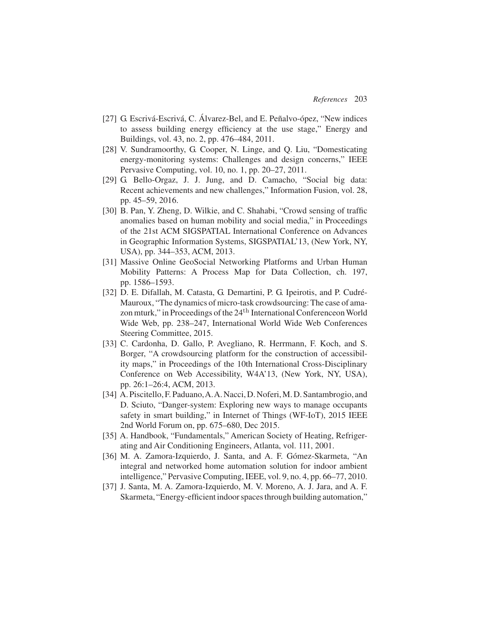- [27] G. Escrivá-Escrivá, C. Álvarez-Bel, and E. Peñalvo-ópez, "New indices to assess building energy efficiency at the use stage," Energy and Buildings, vol. 43, no. 2, pp. 476–484, 2011.
- [28] V. Sundramoorthy, G. Cooper, N. Linge, and Q. Liu, "Domesticating energy-monitoring systems: Challenges and design concerns," IEEE Pervasive Computing, vol. 10, no. 1, pp. 20–27, 2011.
- [29] G. Bello-Orgaz, J. J. Jung, and D. Camacho, "Social big data: Recent achievements and new challenges," Information Fusion, vol. 28, pp. 45–59, 2016.
- [30] B. Pan, Y. Zheng, D. Wilkie, and C. Shahabi, "Crowd sensing of traffic anomalies based on human mobility and social media," in Proceedings of the 21st ACM SIGSPATIAL International Conference on Advances in Geographic Information Systems, SIGSPATIAL'13, (New York, NY, USA), pp. 344–353, ACM, 2013.
- [31] Massive Online GeoSocial Networking Platforms and Urban Human Mobility Patterns: A Process Map for Data Collection, ch. 197, pp. 1586–1593.
- [32] D. E. Difallah, M. Catasta, G. Demartini, P. G. Ipeirotis, and P. Cudré-Mauroux, "The dynamics of micro-task crowdsourcing: The case of amazon mturk," in Proceedings of the 24<sup>th</sup> International Conference on World Wide Web, pp. 238–247, International World Wide Web Conferences Steering Committee, 2015.
- [33] C. Cardonha, D. Gallo, P. Avegliano, R. Herrmann, F. Koch, and S. Borger, "A crowdsourcing platform for the construction of accessibility maps," in Proceedings of the 10th International Cross-Disciplinary Conference on Web Accessibility, W4A'13, (New York, NY, USA), pp. 26:1–26:4, ACM, 2013.
- [34] A. Piscitello, F. Paduano, A. A. Nacci, D. Noferi, M. D. Santambrogio, and D. Sciuto, "Danger-system: Exploring new ways to manage occupants safety in smart building," in Internet of Things (WF-IoT), 2015 IEEE 2nd World Forum on, pp. 675–680, Dec 2015.
- [35] A. Handbook, "Fundamentals," American Society of Heating, Refrigerating and Air Conditioning Engineers, Atlanta, vol. 111, 2001.
- [36] M. A. Zamora-Izquierdo, J. Santa, and A. F. Gómez-Skarmeta, "An integral and networked home automation solution for indoor ambient intelligence," Pervasive Computing, IEEE, vol. 9, no. 4, pp. 66–77, 2010.
- [37] J. Santa, M. A. Zamora-Izquierdo, M. V. Moreno, A. J. Jara, and A. F. Skarmeta, "Energy-efficient indoor spaces through building automation,"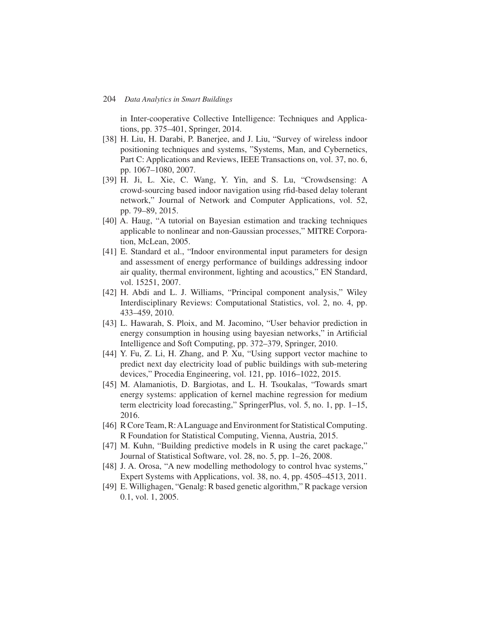in Inter-cooperative Collective Intelligence: Techniques and Applications, pp. 375–401, Springer, 2014.

- [38] H. Liu, H. Darabi, P. Banerjee, and J. Liu, "Survey of wireless indoor positioning techniques and systems, "Systems, Man, and Cybernetics, Part C: Applications and Reviews, IEEE Transactions on, vol. 37, no. 6, pp. 1067–1080, 2007.
- [39] H. Ji, L. Xie, C. Wang, Y. Yin, and S. Lu, "Crowdsensing: A crowd-sourcing based indoor navigation using rfid-based delay tolerant network," Journal of Network and Computer Applications, vol. 52, pp. 79–89, 2015.
- [40] A. Haug, "A tutorial on Bayesian estimation and tracking techniques applicable to nonlinear and non-Gaussian processes," MITRE Corporation, McLean, 2005.
- [41] E. Standard et al., "Indoor environmental input parameters for design and assessment of energy performance of buildings addressing indoor air quality, thermal environment, lighting and acoustics," EN Standard, vol. 15251, 2007.
- [42] H. Abdi and L. J. Williams, "Principal component analysis," Wiley Interdisciplinary Reviews: Computational Statistics, vol. 2, no. 4, pp. 433–459, 2010.
- [43] L. Hawarah, S. Ploix, and M. Jacomino, "User behavior prediction in energy consumption in housing using bayesian networks," in Artificial Intelligence and Soft Computing, pp. 372–379, Springer, 2010.
- [44] Y. Fu, Z. Li, H. Zhang, and P. Xu, "Using support vector machine to predict next day electricity load of public buildings with sub-metering devices," Procedia Engineering, vol. 121, pp. 1016–1022, 2015.
- [45] M. Alamaniotis, D. Bargiotas, and L. H. Tsoukalas, "Towards smart energy systems: application of kernel machine regression for medium term electricity load forecasting," SpringerPlus, vol. 5, no. 1, pp. 1–15, 2016.
- [46] R Core Team, R: A Language and Environment for Statistical Computing. R Foundation for Statistical Computing, Vienna, Austria, 2015.
- [47] M. Kuhn, "Building predictive models in R using the caret package," Journal of Statistical Software, vol. 28, no. 5, pp. 1–26, 2008.
- [48] J. A. Orosa, "A new modelling methodology to control hvac systems," Expert Systems with Applications, vol. 38, no. 4, pp. 4505–4513, 2011.
- [49] E. Willighagen, "Genalg: R based genetic algorithm," R package version 0.1, vol. 1, 2005.